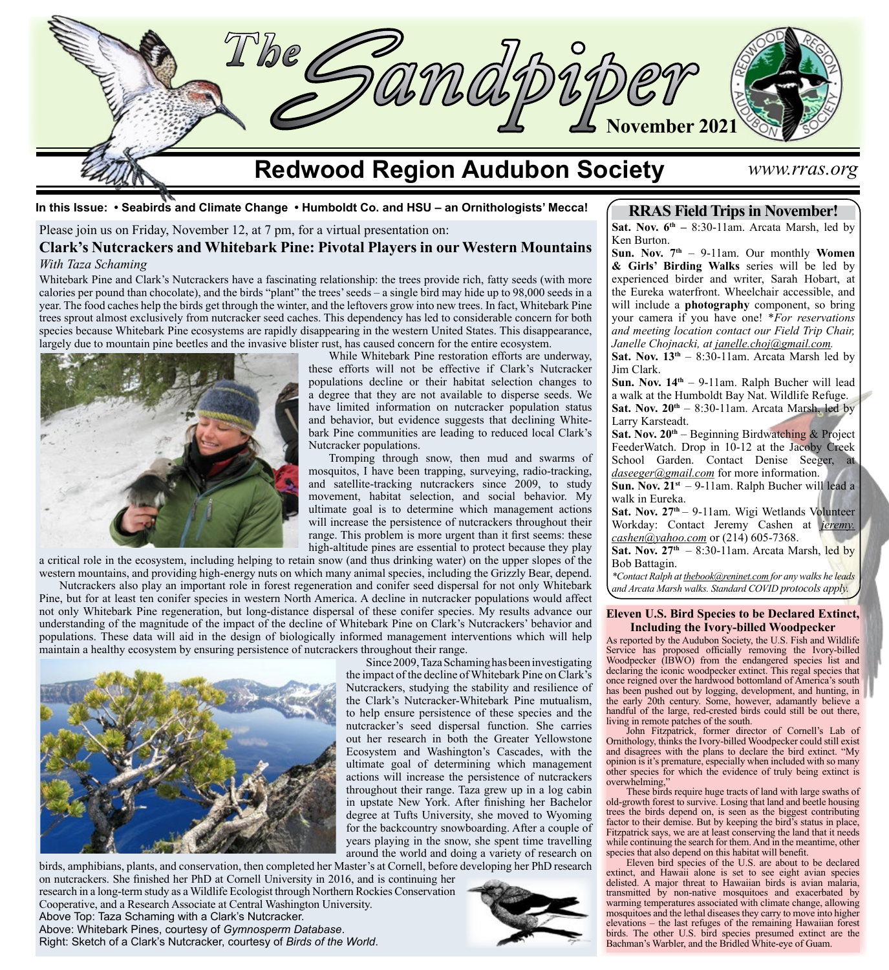

**In this Issue: • Seabirds and Climate Change • Humboldt Co. and HSU – an Ornithologists' Mecca!**

Please join us on Friday, November 12, at 7 pm, for a virtual presentation on:

## **Clark's Nutcrackers and Whitebark Pine: Pivotal Players in our Western Mountains** *With Taza Schaming*

Whitebark Pine and Clark's Nutcrackers have a fascinating relationship: the trees provide rich, fatty seeds (with more calories per pound than chocolate), and the birds "plant" the trees' seeds – a single bird may hide up to 98,000 seeds in a year. The food caches help the birds get through the winter, and the leftovers grow into new trees. In fact, Whitebark Pine trees sprout almost exclusively from nutcracker seed caches. This dependency has led to considerable concern for both species because Whitebark Pine ecosystems are rapidly disappearing in the western United States. This disappearance, largely due to mountain pine beetles and the invasive blister rust, has caused concern for the entire ecosystem.



While Whitebark Pine restoration efforts are underway, these efforts will not be effective if Clark's Nutcracker populations decline or their habitat selection changes to a degree that they are not available to disperse seeds. We have limited information on nutcracker population status and behavior, but evidence suggests that declining Whitebark Pine communities are leading to reduced local Clark's Nutcracker populations.

Tromping through snow, then mud and swarms of mosquitos, I have been trapping, surveying, radio-tracking, and satellite-tracking nutcrackers since 2009, to study movement, habitat selection, and social behavior. My ultimate goal is to determine which management actions will increase the persistence of nutcrackers throughout their range. This problem is more urgent than it first seems: these high-altitude pines are essential to protect because they play

a critical role in the ecosystem, including helping to retain snow (and thus drinking water) on the upper slopes of the western mountains, and providing high-energy nuts on which many animal species, including the Grizzly Bear, depend.

Nutcrackers also play an important role in forest regeneration and conifer seed dispersal for not only Whitebark Pine, but for at least ten conifer species in western North America. A decline in nutcracker populations would affect not only Whitebark Pine regeneration, but long-distance dispersal of these conifer species. My results advance our understanding of the magnitude of the impact of the decline of Whitebark Pine on Clark's Nutcrackers' behavior and populations. These data will aid in the design of biologically informed management interventions which will help maintain a healthy ecosystem by ensuring persistence of nutcrackers throughout their range.



birds, amphibians, plants, and conservation, then completed her Master's at Cornell, before developing her PhD research on nutcrackers. She finished her PhD at Cornell University in 2016, and is continuing her research in a long-term study as a Wildlife Ecologist through Northern Rockies Conservation Cooperative, and a Research Associate at Central Washington University. Above Top: Taza Schaming with a Clark's Nutcracker. Above: Whitebark Pines, courtesy of *Gymnosperm Database*. Right: Sketch of a Clark's Nutcracker, courtesy of *Birds of the World*.

Since 2009, Taza Schaming has been investigating the impact of the decline of Whitebark Pine on Clark's Nutcrackers, studying the stability and resilience of the Clark's Nutcracker-Whitebark Pine mutualism, to help ensure persistence of these species and the nutcracker's seed dispersal function. She carries out her research in both the Greater Yellowstone Ecosystem and Washington's Cascades, with the ultimate goal of determining which management actions will increase the persistence of nutcrackers throughout their range. Taza grew up in a log cabin in upstate New York. After finishing her Bachelor degree at Tufts University, she moved to Wyoming for the backcountry snowboarding. After a couple of years playing in the snow, she spent time travelling around the world and doing a variety of research on

**RRAS Field Trips in November!**

**Sat. Nov.**  $6^{th}$  **– 8:30-11am. Arcata Marsh, led by** Ken Burton.

**Sun. Nov. 7th** – 9-11am. Our monthly **Women & Girls' Birding Walks** series will be led by experienced birder and writer, Sarah Hobart, at the Eureka waterfront. Wheelchair accessible, and will include a **photography** component, so bring your camera if you have one! \**For reservations and meeting location contact our Field Trip Chair, Janelle Chojnacki, at [janelle.choj@gmail.com](mailto:janelle.choj%40gmail.com?subject=).*

**Sat. Nov.**  $13<sup>th</sup> - 8:30-11$ **am. Arcata Marsh led by** Jim Clark.

**Sun. Nov. 14th** – 9-11am. Ralph Bucher will lead a walk at the Humboldt Bay Nat. Wildlife Refuge. Sat. Nov.  $20^{th} - 8:30-11$ am. Arcata Marsh, led by Larry Karsteadt.

Sat. Nov. 20<sup>th</sup> – Beginning Birdwatching & Project FeederWatch. Drop in 10-12 at the Jacoby Creek School Garden. Contact Denise Seeger, at *[daseeger@gmail.com](mailto:daseeger@gmail.com)* for more information.

**Sun. Nov. 21st** – 9-11am. Ralph Bucher will lead a walk in Eureka.

Sat. Nov. 27<sup>th</sup> – 9-11am. Wigi Wetlands Volunteer Workday: Contact Jeremy Cashen at *[jeremy.](mailto:jeremy.cashen%40yahoo.com?subject=) [cashen@yahoo.com](mailto:jeremy.cashen%40yahoo.com?subject=)* or (214) 605-7368.

**Sat. Nov.**  $27<sup>th</sup> - 8:30-11$ **am. Arcata Marsh, led by** Bob Battagin.

*\*Contact Ralph at [thebook@reninet.com](http://thebook@reninet.com) for any walks he leads and Arcata Marsh walks. Standard COVID protocols apply.*

#### **Eleven U.S. Bird Species to be Declared Extinct, Including the Ivory-billed Woodpecker**

As reported by the Audubon Society, the U.S. Fish and Wildlife Service has proposed officially removing the Ivory-billed Woodpecker (IBWO) from the endangered species list and declaring the iconic woodpecker extinct. This regal species that once reigned over the hardwood bottomland of America's south has been pushed out by logging, development, and hunting, in the early 20th century. Some, however, adamantly believe a handful of the large, red-crested birds could still be out there, living in remote patches of the south.

John Fitzpatrick, former director of Cornell's Lab of Ornithology, thinks the Ivory-billed Woodpecker could still exist and disagrees with the plans to declare the bird extinct. "My opinion is it's premature, especially when included with so many other species for which the evidence of truly being extinct is overwhelming,'

These birds require huge tracts of land with large swaths of old-growth forest to survive. Losing that land and beetle housing trees the birds depend on, is seen as the biggest contributing factor to their demise. But by keeping the bird's status in place, Fitzpatrick says, we are at least conserving the land that it needs while continuing the search for them. And in the meantime, other species that also depend on this habitat will benefit.

Eleven bird species of the U.S. are about to be declared extinct, and Hawaii alone is set to see eight avian species delisted. A major threat to Hawaiian birds is avian malaria, transmitted by non-native mosquitoes and exacerbated by warming temperatures associated with climate change, allowing mosquitoes and the lethal diseases they carry to move into higher elevations – the last refuges of the remaining Hawaiian forest birds. The other U.S. bird species presumed extinct are the Bachman's Warbler, and the Bridled White-eye of Guam.

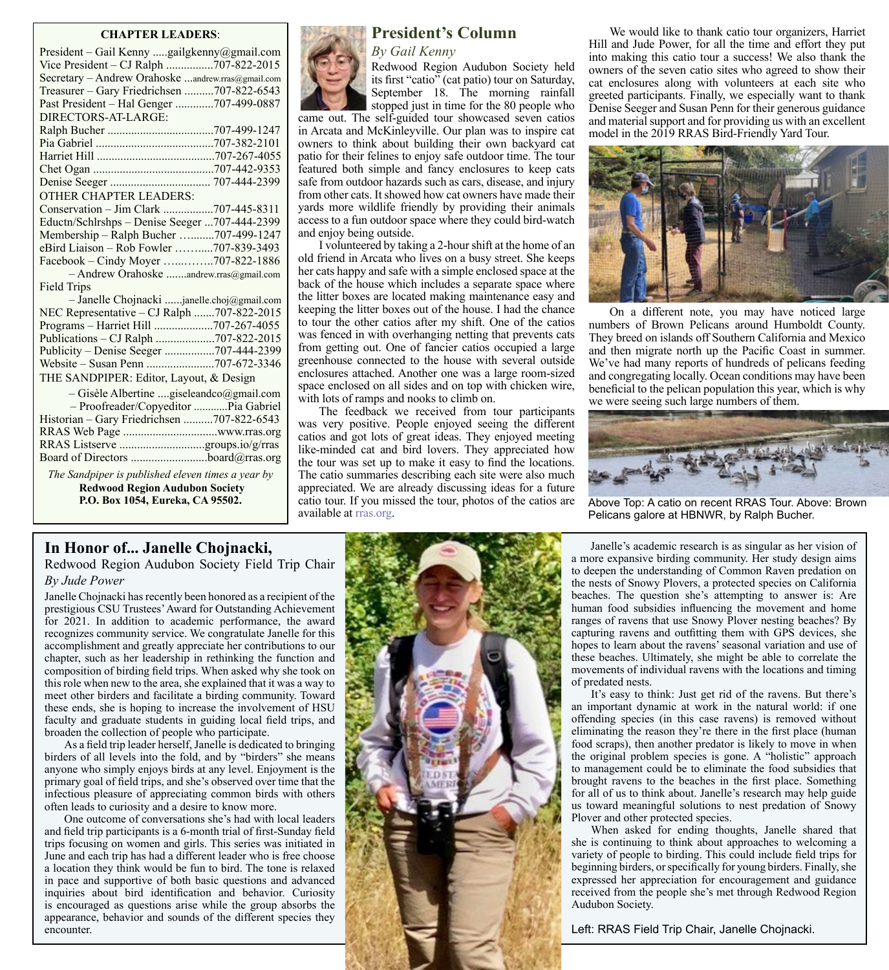#### **CHAPTER LEADERS**:

| President – Gail Kenny gailgkenny@gmail.com       |  |
|---------------------------------------------------|--|
| Vice President – CJ Ralph 707-822-2015            |  |
| Secretary - Andrew Orahoske andrew.rras@gmail.com |  |
| Treasurer - Gary Friedrichsen 707-822-6543        |  |
| Past President - Hal Genger 707-499-0887          |  |
| DIRECTORS-AT-LARGE:                               |  |
|                                                   |  |
|                                                   |  |
|                                                   |  |
|                                                   |  |
|                                                   |  |
| <b>OTHER CHAPTER LEADERS:</b>                     |  |
| Conservation - Jim Clark 707-445-8311             |  |
| Eductn/Schlrshps - Denise Seeger 707-444-2399     |  |
| Membership - Ralph Bucher 707-499-1247            |  |
| eBird Liaison - Rob Fowler 707-839-3493           |  |
| Facebook - Cindy Moyer 707-822-1886               |  |
| - Andrew Orahoske andrew.rras@gmail.com           |  |
| Field Trips                                       |  |
| - Janelle Chojnacki janelle.choj@gmail.com        |  |
| NEC Representative - CJ Ralph 707-822-2015        |  |
| Programs - Harriet Hill 707-267-4055              |  |
| Publications - CJ Ralph 707-822-2015              |  |
| Publicity - Denise Seeger 707-444-2399            |  |
|                                                   |  |
| THE SANDPIPER: Editor, Layout, & Design           |  |
| - Gisèle Albertine giseleandco@gmail.com          |  |
| - Proofreader/Copyeditor Pia Gabriel              |  |
| Historian - Gary Friedrichsen 707-822-6543        |  |
|                                                   |  |
|                                                   |  |
|                                                   |  |
|                                                   |  |

*The Sandpiper is published eleven times a year by* **Redwood Region Audubon Society**



# **President's Column**

*By Gail Kenny*

Redwood Region Audubon Society held its first "catio" (cat patio) tour on Saturday, September 18. The morning rainfall stopped just in time for the 80 people who

came out. The self-guided tour showcased seven catios in Arcata and McKinleyville. Our plan was to inspire cat owners to think about building their own backyard cat patio for their felines to enjoy safe outdoor time. The tour featured both simple and fancy enclosures to keep cats safe from outdoor hazards such as cars, disease, and injury from other cats. It showed how cat owners have made their yards more wildlife friendly by providing their animals access to a fun outdoor space where they could bird-watch and enjoy being outside.

I volunteered by taking a 2-hour shift at the home of an old friend in Arcata who lives on a busy street. She keeps her cats happy and safe with a simple enclosed space at the back of the house which includes a separate space where the litter boxes are located making maintenance easy and keeping the litter boxes out of the house. I had the chance to tour the other catios after my shift. One of the catios was fenced in with overhanging netting that prevents cats from getting out. One of fancier catios occupied a large greenhouse connected to the house with several outside enclosures attached. Another one was a large room-sized space enclosed on all sides and on top with chicken wire, with lots of ramps and nooks to climb on.

The feedback we received from tour participants was very positive. People enjoyed seeing the different catios and got lots of great ideas. They enjoyed meeting like-minded cat and bird lovers. They appreciated how the tour was set up to make it easy to find the locations. The catio summaries describing each site were also much appreciated. We are already discussing ideas for a future catio tour. If you missed the tour, photos of the catios are available at [rras.org.](http://www.rras.org/home.aspx) **P.O. Box 1054, Eureka, CA 95502.** Catio tour. If you missed the tour, photos of the catios are Above Top: A catio on recent RRAS Tour. Above: Brown

We would like to thank catio tour organizers, Harriet Hill and Jude Power, for all the time and effort they put into making this catio tour a success! We also thank the owners of the seven catio sites who agreed to show their cat enclosures along with volunteers at each site who greeted participants. Finally, we especially want to thank Denise Seeger and Susan Penn for their generous guidance and material support and for providing us with an excellent model in the 2019 RRAS Bird-Friendly Yard Tour.



On a different note, you may have noticed large numbers of Brown Pelicans around Humboldt County. They breed on islands off Southern California and Mexico and then migrate north up the Pacific Coast in summer. We've had many reports of hundreds of pelicans feeding and congregating locally. Ocean conditions may have been beneficial to the pelican population this year, which is why we were seeing such large numbers of them.



Pelicans galore at HBNWR, by Ralph Bucher.

## **In Honor of... Janelle Chojnacki,**

Redwood Region Audubon Society Field Trip Chair *By Jude Power*

Janelle Chojnacki has recently been honored as a recipient of the prestigious CSU Trustees' Award for Outstanding Achievement for 2021. In addition to academic performance, the award recognizes community service. We congratulate Janelle for this accomplishment and greatly appreciate her contributions to our chapter, such as her leadership in rethinking the function and composition of birding field trips. When asked why she took on this role when new to the area, she explained that it was a way to meet other birders and facilitate a birding community. Toward these ends, she is hoping to increase the involvement of HSU faculty and graduate students in guiding local field trips, and broaden the collection of people who participate.

As a field trip leader herself, Janelle is dedicated to bringing birders of all levels into the fold, and by "birders" she means anyone who simply enjoys birds at any level. Enjoyment is the primary goal of field trips, and she's observed over time that the infectious pleasure of appreciating common birds with others often leads to curiosity and a desire to know more.

One outcome of conversations she's had with local leaders and field trip participants is a 6-month trial of first-Sunday field trips focusing on women and girls. This series was initiated in June and each trip has had a different leader who is free choose a location they think would be fun to bird. The tone is relaxed in pace and supportive of both basic questions and advanced inquiries about bird identification and behavior. Curiosity is encouraged as questions arise while the group absorbs the appearance, behavior and sounds of the different species they encounter.



Janelle's academic research is as singular as her vision of a more expansive birding community. Her study design aims to deepen the understanding of Common Raven predation on the nests of Snowy Plovers, a protected species on California beaches. The question she's attempting to answer is: Are human food subsidies influencing the movement and home ranges of ravens that use Snowy Plover nesting beaches? By capturing ravens and outfitting them with GPS devices, she hopes to learn about the ravens' seasonal variation and use of these beaches. Ultimately, she might be able to correlate the movements of individual ravens with the locations and timing of predated nests.

It's easy to think: Just get rid of the ravens. But there's an important dynamic at work in the natural world: if one offending species (in this case ravens) is removed without eliminating the reason they're there in the first place (human food scraps), then another predator is likely to move in when the original problem species is gone. A "holistic" approach to management could be to eliminate the food subsidies that brought ravens to the beaches in the first place. Something for all of us to think about. Janelle's research may help guide us toward meaningful solutions to nest predation of Snowy Plover and other protected species.

When asked for ending thoughts, Janelle shared that she is continuing to think about approaches to welcoming a variety of people to birding. This could include field trips for beginning birders, or specifically for young birders. Finally, she expressed her appreciation for encouragement and guidance received from the people she's met through Redwood Region Audubon Society.

Left: RRAS Field Trip Chair, Janelle Chojnacki.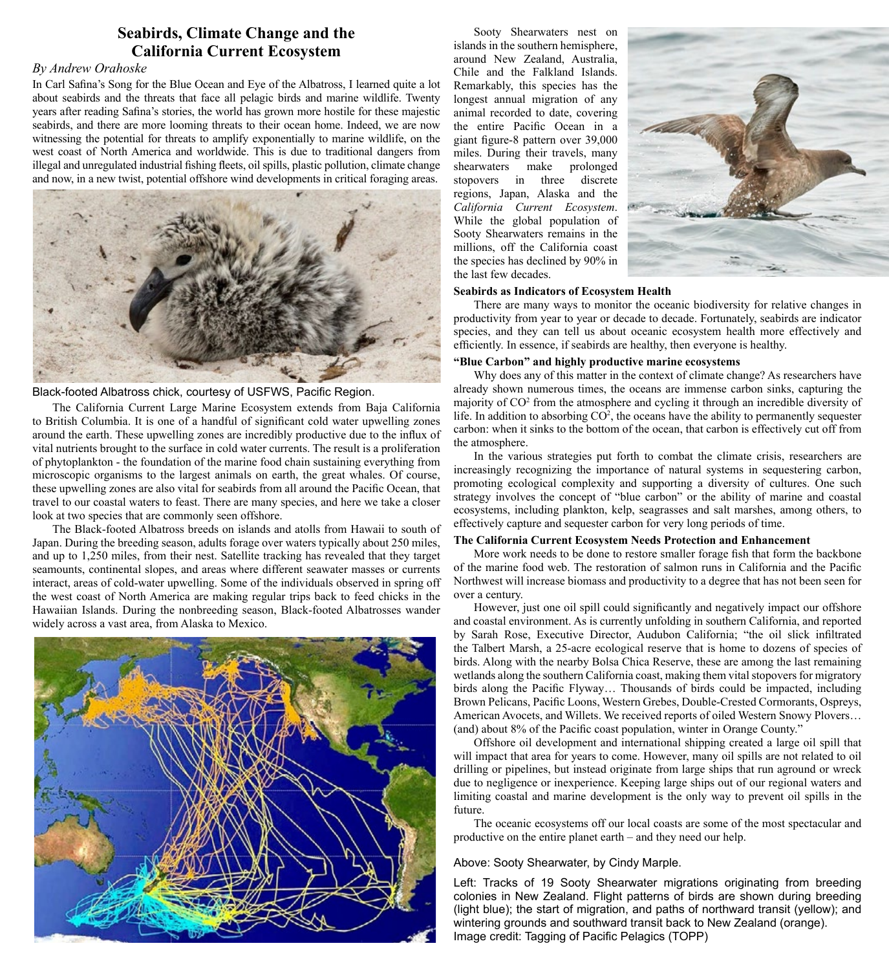# **Seabirds, Climate Change and the California Current Ecosystem**

### *By Andrew Orahoske*

In Carl Safina's Song for the Blue Ocean and Eye of the Albatross, I learned quite a lot about seabirds and the threats that face all pelagic birds and marine wildlife. Twenty years after reading Safina's stories, the world has grown more hostile for these majestic seabirds, and there are more looming threats to their ocean home. Indeed, we are now witnessing the potential for threats to amplify exponentially to marine wildlife, on the west coast of North America and worldwide. This is due to traditional dangers from illegal and unregulated industrial fishing fleets, oil spills, plastic pollution, climate change and now, in a new twist, potential offshore wind developments in critical foraging areas.



### Black-footed Albatross chick, courtesy of USFWS, Pacific Region.

The California Current Large Marine Ecosystem extends from Baja California to British Columbia. It is one of a handful of significant cold water upwelling zones around the earth. These upwelling zones are incredibly productive due to the influx of vital nutrients brought to the surface in cold water currents. The result is a proliferation of phytoplankton - the foundation of the marine food chain sustaining everything from microscopic organisms to the largest animals on earth, the great whales. Of course, these upwelling zones are also vital for seabirds from all around the Pacific Ocean, that travel to our coastal waters to feast. There are many species, and here we take a closer look at two species that are commonly seen offshore.

The Black-footed Albatross breeds on islands and atolls from Hawaii to south of Japan. During the breeding season, adults forage over waters typically about 250 miles, and up to 1,250 miles, from their nest. Satellite tracking has revealed that they target seamounts, continental slopes, and areas where different seawater masses or currents interact, areas of cold-water upwelling. Some of the individuals observed in spring off the west coast of North America are making regular trips back to feed chicks in the Hawaiian Islands. During the nonbreeding season, Black-footed Albatrosses wander widely across a vast area, from Alaska to Mexico.



Sooty Shearwaters nest on islands in the southern hemisphere, around New Zealand, Australia, Chile and the Falkland Islands. Remarkably, this species has the longest annual migration of any animal recorded to date, covering the entire Pacific Ocean in a giant figure-8 pattern over 39,000 miles. During their travels, many shearwaters make prolonged stopovers in three discrete regions, Japan, Alaska and the *California Current Ecosystem*. While the global population of Sooty Shearwaters remains in the millions, off the California coast the species has declined by 90% in the last few decades.



#### **Seabirds as Indicators of Ecosystem Health**

There are many ways to monitor the oceanic biodiversity for relative changes in productivity from year to year or decade to decade. Fortunately, seabirds are indicator species, and they can tell us about oceanic ecosystem health more effectively and efficiently. In essence, if seabirds are healthy, then everyone is healthy.

#### **"Blue Carbon" and highly productive marine ecosystems**

Why does any of this matter in the context of climate change? As researchers have already shown numerous times, the oceans are immense carbon sinks, capturing the majority of CO<sup>2</sup> from the atmosphere and cycling it through an incredible diversity of life. In addition to absorbing  $CO<sup>2</sup>$ , the oceans have the ability to permanently sequester carbon: when it sinks to the bottom of the ocean, that carbon is effectively cut off from the atmosphere.

In the various strategies put forth to combat the climate crisis, researchers are increasingly recognizing the importance of natural systems in sequestering carbon, promoting ecological complexity and supporting a diversity of cultures. One such strategy involves the concept of "blue carbon" or the ability of marine and coastal ecosystems, including plankton, kelp, seagrasses and salt marshes, among others, to effectively capture and sequester carbon for very long periods of time.

#### **The California Current Ecosystem Needs Protection and Enhancement**

More work needs to be done to restore smaller forage fish that form the backbone of the marine food web. The restoration of salmon runs in California and the Pacific Northwest will increase biomass and productivity to a degree that has not been seen for over a century.

However, just one oil spill could significantly and negatively impact our offshore and coastal environment. As is currently unfolding in southern California, and reported by Sarah Rose, Executive Director, Audubon California; "the oil slick infiltrated the Talbert Marsh, a 25-acre ecological reserve that is home to dozens of species of birds. Along with the nearby Bolsa Chica Reserve, these are among the last remaining wetlands along the southern California coast, making them vital stopovers for migratory birds along the Pacific Flyway… Thousands of birds could be impacted, including Brown Pelicans, Pacific Loons, Western Grebes, Double-Crested Cormorants, Ospreys, American Avocets, and Willets. We received reports of oiled Western Snowy Plovers… (and) about 8% of the Pacific coast population, winter in Orange County."

Offshore oil development and international shipping created a large oil spill that will impact that area for years to come. However, many oil spills are not related to oil drilling or pipelines, but instead originate from large ships that run aground or wreck due to negligence or inexperience. Keeping large ships out of our regional waters and limiting coastal and marine development is the only way to prevent oil spills in the future.

The oceanic ecosystems off our local coasts are some of the most spectacular and productive on the entire planet earth – and they need our help.

#### Above: Sooty Shearwater, by Cindy Marple.

Left: Tracks of 19 Sooty Shearwater migrations originating from breeding colonies in New Zealand. Flight patterns of birds are shown during breeding (light blue); the start of migration, and paths of northward transit (yellow); and wintering grounds and southward transit back to New Zealand (orange). Image credit: Tagging of Pacific Pelagics (TOPP)